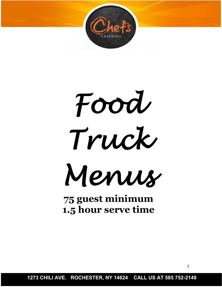

*Food Truck Menus* 

**75 guest minimum 1.5 hour serve time**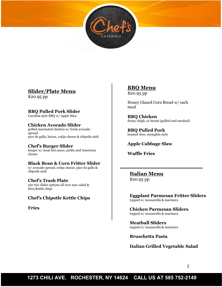

## **Slider/Plate Menu**

\$20.95 pp

**BBQ Pulled Pork Slider**

Carolina style BBQ w/ Apple Slaw

#### **Chicken Avocado Slider**

grilled marinated chicken w/ fresh avocado spread, pico de gallo, bacon, cotija cheese & chipotle aioli

#### **Chef's Burger Slider**

burger w/ meat hot sauce, pickle and American cheese

#### **Black Bean & Corn Fritter Slider**

w/ avocado spread, cotija cheese, pico de gallo & chipotle aioli

#### **Chef's Trash Plate**

any two slider options all over mac salad & fries/kettle chips

## **Chef's Chipotle Kettle Chips**

**Fries**

# **BBQ Menu**

\$20.95 pp

Honey Glazed Corn Bread w/ each meal

**BBQ Chicken** drum, thigh, or breast (grilled and smoked)

**BBQ Pulled Pork** braised slow, memphis style

#### **Apple Cabbage Slaw**

**Waffle Fries**

**Italian Menu** \$20.95 pp

**Eggplant Parmesan Fritter Sliders** topped w/ mozzarella & marinara

**Chicken Parmesan Sliders** topped w/ mozzarella & marinara

**Meatball Sliders** topped w/ mozzarella & marinara

**Bruschetta Pasta**

#### **Italian Grilled Vegetable Salad**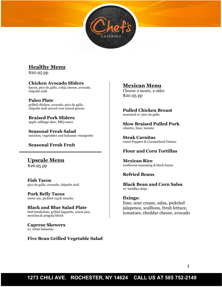# **Healthy Menu**

\$20.95 pp

#### **Chicken Avocado Sliders**

bacon, pico de gallo, cotija cheese, avocado, chipotle aioli

#### **Paleo Plate**

grilled chicken, avocado, pico de gallo, chipotle aioli served over mixed greens

**Braised Pork Sliders** apple cabbage slaw, BBQ sauce

**Seasonal Fresh Salad** mesclun, vegetables and balsamic vinaigrette

### **Seasonal Fresh Fruit**

# **Upscale Menu**

\$26.95 pp

**Fish Tacos** pico de gallo, avocado, chipotle aioli

**Pork Belly Tacos** sweet soy, pickled veg & siracha

**Black and Blue Salad Plate** beef tenderloin, grilled baguette, onion jam, mesclun & arugula blend

**Caprese Skewers** w/ white balsamic

## **Five Bean Grilled Vegetable Salad**

## **Mexican Menu**

Choose 2 meats, 2 sides \$20.95 pp

**Pulled Chicken Breast** seasoned w/ pico de gallo

**Slow Braised Pulled Pork** cilantro, lime, tomato

**Steak Carnitas** sweet Peppers & Caramelized Onions

#### **Flour and Corn Tortillas**

**Mexican Rice** southwest seasoning & black beans

#### **Refried Beans**

**Black Bean and Corn Salsa** w/ tortillas chips

#### **fixings:**

lime, sour cream, salsa, pickeled jalapenos, scallions, fresh lettuce, tomatoes, cheddar cheese, avocado

# **1273 CHILI AVE. ROCHESTER, NY 14624 CALL US AT 585 752-2149**